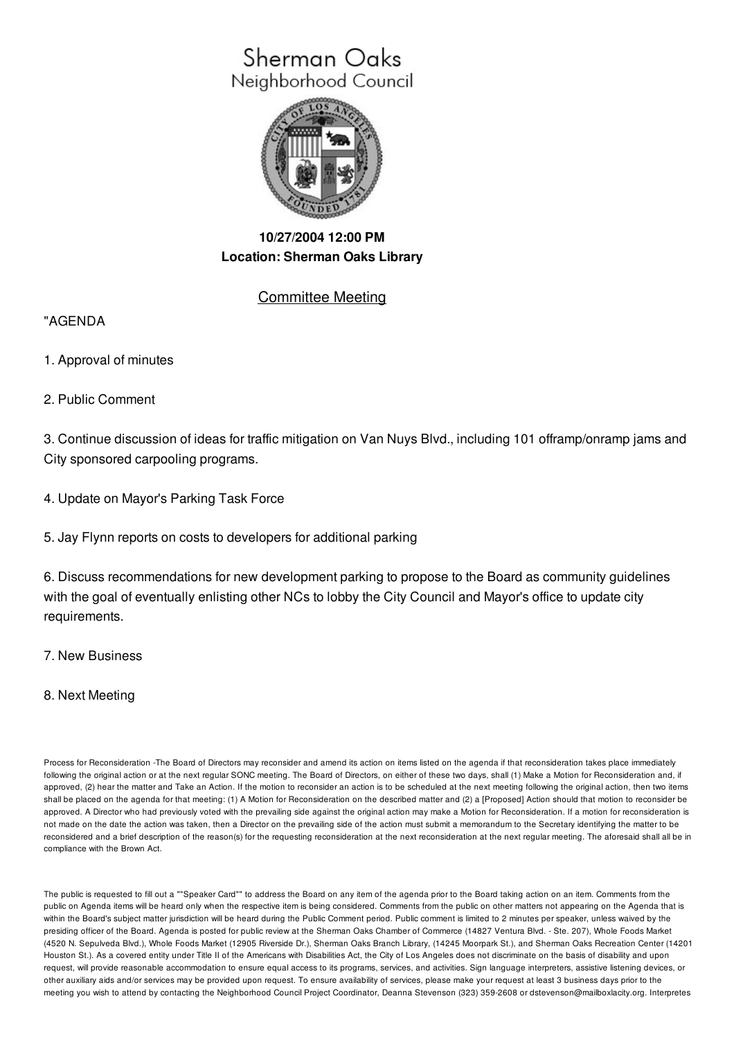# Sherman Oaks Neighborhood Council



## **10/27/2004 12:00 PM Location: Sherman Oaks Library**

### Committee Meeting

#### "AGENDA

- 1. Approval of minutes
- 2. Public Comment

3. Continue discussion of ideas for traffic mitigation on Van Nuys Blvd., including 101 offramp/onramp jams and City sponsored carpooling programs.

4. Update on Mayor's Parking Task Force

5. Jay Flynn reports on costs to developers for additional parking

6. Discuss recommendations for new development parking to propose to the Board as community guidelines with the goal of eventually enlisting other NCs to lobby the City Council and Mayor's office to update city requirements.

#### 7. New Business

#### 8. Next Meeting

Process for Reconsideration -The Board of Directors may reconsider and amend its action on items listed on the agenda if that reconsideration takes place immediately following the original action or at the next regular SONC meeting. The Board of Directors, on either of these two days, shall (1) Make a Motion for Reconsideration and, if approved, (2) hear the matter and Take an Action. If the motion to reconsider an action is to be scheduled at the next meeting following the original action, then two items shall be placed on the agenda for that meeting: (1) A Motion for Reconsideration on the described matter and (2) a [Proposed] Action should that motion to reconsider be approved. A Director who had previously voted with the prevailing side against the original action may make a Motion for Reconsideration. If a motion for reconsideration is not made on the date the action was taken, then a Director on the prevailing side of the action must submit a memorandum to the Secretary identifying the matter to be reconsidered and a brief description of the reason(s) for the requesting reconsideration at the next reconsideration at the next regular meeting. The aforesaid shall all be in compliance with the Brown Act.

The public is requested to fill out a ""Speaker Card"" to address the Board on any item of the agenda prior to the Board taking action on an item. Comments from the public on Agenda items will be heard only when the respective item is being considered. Comments from the public on other matters not appearing on the Agenda that is within the Board's subject matter jurisdiction will be heard during the Public Comment period. Public comment is limited to 2 minutes per speaker, unless waived by the presiding officer of the Board. Agenda is posted for public review at the Sherman Oaks Chamber of Commerce (14827 Ventura Blvd. - Ste. 207), Whole Foods Market (4520 N. Sepulveda Blvd.), Whole Foods Market (12905 Riverside Dr.), Sherman Oaks Branch Library, (14245 Moorpark St.), and Sherman Oaks Recreation Center (14201 Houston St.). As a covered entity under Title II of the Americans with Disabilities Act, the City of Los Angeles does not discriminate on the basis of disability and upon request, will provide reasonable accommodation to ensure equal access to its programs, services, and activities. Sign language interpreters, assistive listening devices, or other auxiliary aids and/or services may be provided upon request. To ensure availability of services, please make your request at least 3 business days prior to the meeting you wish to attend by contacting the Neighborhood Council Project Coordinator, Deanna Stevenson (323) 359-2608 or dstevenson@mailboxlacity.org. Interpretes